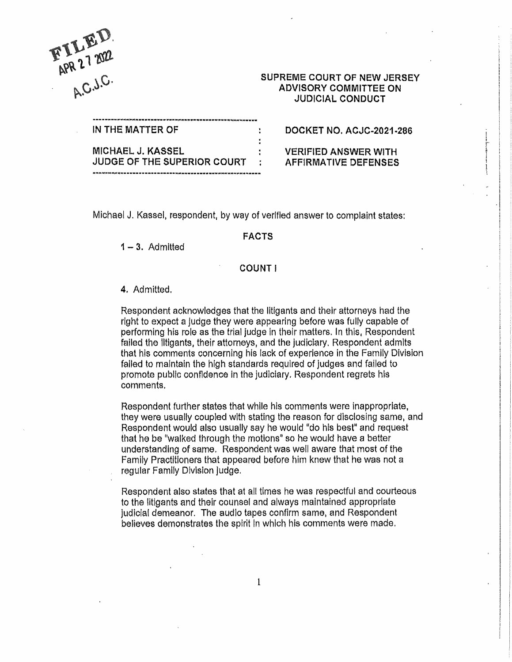

# SUPREME COURT OF NEW JERSEY ADVISORY COMMITTEE ON JUDICIAL CONDUCT

| IN THE MATTER OF                   | DOCKET NO. ACJC-2021-286    |
|------------------------------------|-----------------------------|
|                                    |                             |
| MICHAEL J. KASSEL                  | <b>VERIFIED ANSWER WITH</b> |
| <b>JUDGE OF THE SUPERIOR COURT</b> | AFFIRMATIVE DEFENSES        |
|                                    |                             |

Michael J. Kassel, respondent, by way of verified answer to complaint states:

#### **FACTS**

**1** - **3.** Admitted

## **COUNT!**

#### **4.** Admitted.

Respondent acknowledges that the litigants and their attorneys had the right to expect a judge they were appearing before was fully capable of performing his role as the trial Judge in their matters. In this, Respondent failed the litigants, their attorneys, and the judiciary. Respondent admlts that his comments concerning his lack of experience in the Family Division failed to maintain the high standards required of judges and failed to promote publlc confidence In the judiciary, Respondent regrets his comments.

Respondent further states that while his comments were inappropriate, they were usually coupled with stating the reason for dlsclosing same, and Respondent would also usually say he would "do his best" and request that he be "walked through the motions" so he would have a better understanding of same. Respondent was well aware that most of the Family Practitioners that appeared before him knew that he was not a regular Family Dlvision judge.

Respondent also states that at all times he was respectful and courteous to the litigants and their counsel and always maintained appropriate judicial demeanor. The audio tapes confirm same, and Respondent believes demonstrates the spirit In which his comments were made.

1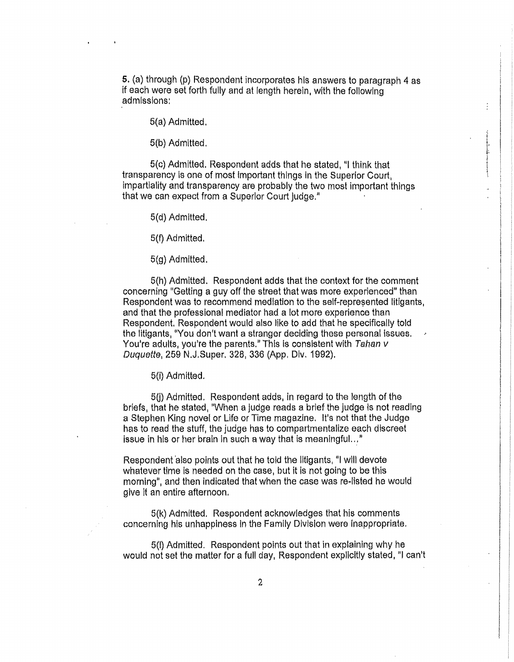5, (a) through (p) Respondent incorporates his answers to paragraph 4 as if each were set forth fully and at length herein, with the following admlsslons:

5(a} Admitted,

5(b) Admitted,

5(c) Admitted. Respondent adds that he stated, "I think that transparency Is one of most Important things In the Superior Court, impartiality and transparency are probably the two most important things that we can expect from a Superior Court judge,"

5(d) Admitted.

5(f) Admitted,

5(g) Admitted.

5(h) Admitted. Respondent adds that the context for the comment concerning 11Getting a guy off the street that was more experienced" than Respondent was to recommend mediation to the self-represented litigants, and that the professlonal mediator had a lot more experience than Respondent. Respondent would also like **to** add that he specifically told the litigants, "You don't want a stranger deciding these personal issues. You're adults, you're the parents." This is consistent with Tahan v Duquette, 259 N.J.Super. 328, 336 (App, Div. 1992),

5(i) Admitted.

5(i) Admitted. Respondent adds, in regard to the length of the briefs, that he stated, "When a judge reads a brief the judge is not reading a Stephen King novel or Life or Time magazine. It's not that the Judge has to read the stuff, the judge has to compartmentalize each discreet issue in his or her brain in such a way that is meaningful... $"$ 

Respondent also points out that he told the litigants, "I will devote whatever time is needed on the case, but it is not going to be this morning", and then indicated that when the case was re-listed he would give it an entire afternoon.

5(k) Admitted. Respondent acknowledges that his comments concerning his unhappiness In the Family Division were Inappropriate,

5(1) Admitted. Respondent points out that in explaining why he would not set the matter for a full day, Respondent explicitly stated, "I can't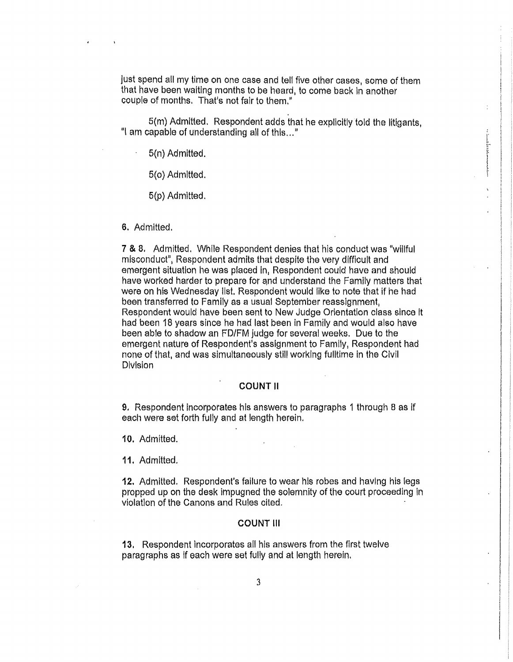just spend all my time on one case and tell five other oases, some of them that have been waiting months to be heard, to come back In another couple of months. That's not fair to them."

S(m) Admitted, Respondent adds that he expllcitly told the litigants, "I am capable of understanding all of this..."

5(n) Admitted.

5(o) Admitted.

5(p) Admitted.

6. Admitted,

7 & 8, Admitted. While Respondent denies that his conduct was "willful misconduct", Respondent admits that despite the very difficult and emergent situation he was placed in, Respondent could have and should have worked harder to prepare for and understand the Family matters that were on his Wednesday list. Respondent would like to note that if he had been transferred to Family as a usual September reassignment. Respondent would have been sent to New Judge Orientation class since It had been 18 years since he had last been in Family and would also have been able to shadow an FD/FM judge for several weeks. Due to the emergent nature of Respondent's assignment to Family, Respondent had none of that, and was simultaneously still working fulltime in the Civil Division

### **COUNT 11**

**9.** Respondent incorporates his answers to paragraphs 1 through B as if each were set forth fully and at length herein.

**10,** Admitted.

**11.** Admitted.

**12.** Admitted. Respondent's failure to wear his robes and having his legs propped up on the desk impugned the solemnity of the court proceeding in vlolatlon of the Canons and Rules cited.

### **COUNT Ill**

**13.** Respondent incorporates all his answers from the first twelve paragraphs as if each were set fully and at length herein,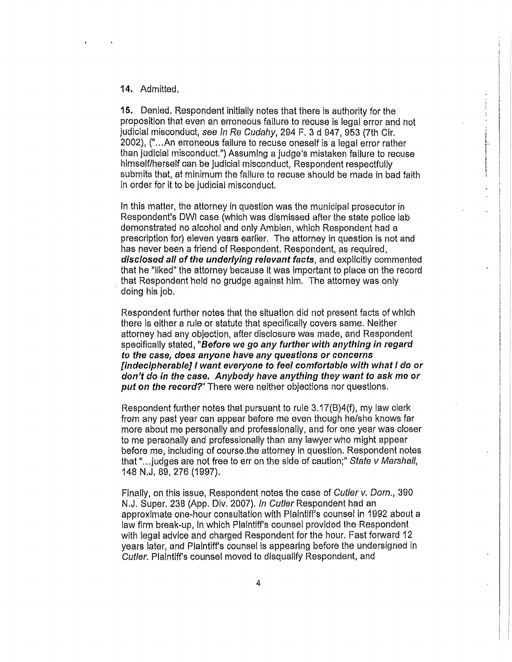### 14. Admitted,

15. Denied. Respondent inltially notes that there ls authority for the proposition that even an erroneous failure to recuse is legal error and not judicial misconduct, see In Re Cudahy, 294 F. 3 d 947, 953 (7th Cir. 2002), ("...An erroneous failure to recuse oneself is a legal error rather than judicial misconduct.") Assuming a judge's mistaken failure to recuse himself/herself can be judicial misconduct, Respondent respectfufly submits that, at minimum the failure to recuse should be made in bad faith in order for it to be judicial misconduct.

In this matter, the attorney in question was the municipal prosecutor in Respondent's DWI case (whlch was dismissed after the state police lab demonstrated no alcohol and only Ambien, which Respondent had a prescription for) eleven years earlier. The attorney in question is not and has never been a friend of Respondent. Respondent, as required, **disclosed all of the underlying relevant facts,** and explicitly commented that he "liked" the attorney because it was important to place on the record . that Respondent held no grudge against him, The attorney was only doing his job.

Respondent further notes that the situation did not present facts of which there is either a rule or statute that specifically covers same. Neither attorney had any objection, after disclosure was made, and Respondent specifically stated, "Before we go any further with anything in regard **to the case, does anyone have any questions or concerns [indecipherable]** I **want everyone to feel comfortable with what** I **do or don't do in the case. Anybody have anything they want to ask me or put on the record?"** There were neither objections nor questions.

Respondent further notes that pursuant to rule 3.17(B)4(f), my law clerk from any past year can appear before me even though he/she knows far more about me personally and professionally, and for one year was closer to me personally and professionally than any lawyer who might appear before me, including of course the attorney in question. Respondent notes that "... judges are not free to err on the side of caution;" State  $\nu$  Marshall, 148 N.J. 89,276 {1997).

Finally, on this issue, Respondent notes the case of Cutler v. Dorn., 390 N.J. Super. 236 (App. Div. 2007). In Cutler Respondent had an approximate one-hour consultation with Plaintiff's counsel in 1992 about a law firm break-up, In which Plaintiff's counsel provided the Respondent with legal advice and charged Respondent for the hour. Fast forward 12 years later, and Plaintiff's counsel is appearing before the undersigned in Cutler. Plaintiff's counsel moved to disqualify Respondent, and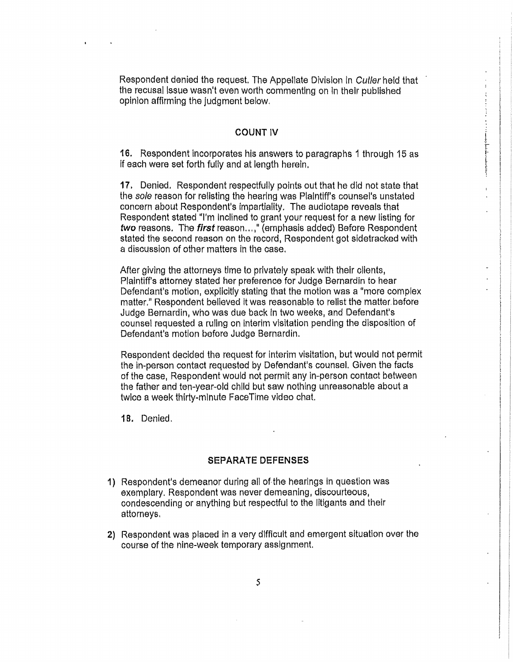Respondent denied the request. The Appellate Division in Cutler held that the recusal Issue wasn't even worth commenting on In their published opinion affirming the judgment below.

### **COUNT IV**

**16.** Respondent incorporates his answers to paragraphs 1 through 15 as ff each were set forth fully and at length herein.

**17.** Denied. Respondent respectfully points out that he did not state that the *sole* reason for re!isting the hearlng was Plaintiff's counsel's unstated concern about Respondent's impartiality. The audiotape reveals that Respondent stated "I'm Inclined to grant your request for a new listing for **two** reasons. The **first** reason .. , i'' (emphasis added} Before Respondent stated the second reason on the record, Respondent got sidetracked with a discussion of other matters in the case.

After giving the attorneys time to privately speak with their clients, Plaintiff's attorney stated her preference for Judge Bernardin to hear Defendant's motion, explicitly stating that the motion was a "more complex matter," Respondent believed lt was reasonable to rellst the matter. before Judge Bernardin, who was due back In two weeks, and Defendant's counsel requested a ruling on Interim visitation pending the disposition of Defendant's motion before Judge Bernardin.

Respondent decided the request for Interim visitation, but would not permit the in-person contact requested by Defendant's counsel. Given the facts of the case, Respondent would not permit any in-person contact between the father and ten-year-old child but saw nothing unreasonable about a twice a week thirty-minute FaceTime video chat.

**18.** Denied.

#### **SEPARATE DEFENSES**

- **1)** Respondent's demeanor during all of the hearings in question was exemplary. Respondent was never demeaning, discourteous, condescending or anything but respectful to the litigants and their attorneys,
- **2)** Respondent was placed in a very dlfflcult and emergent situation over the course of the nine-week temporary assignment.